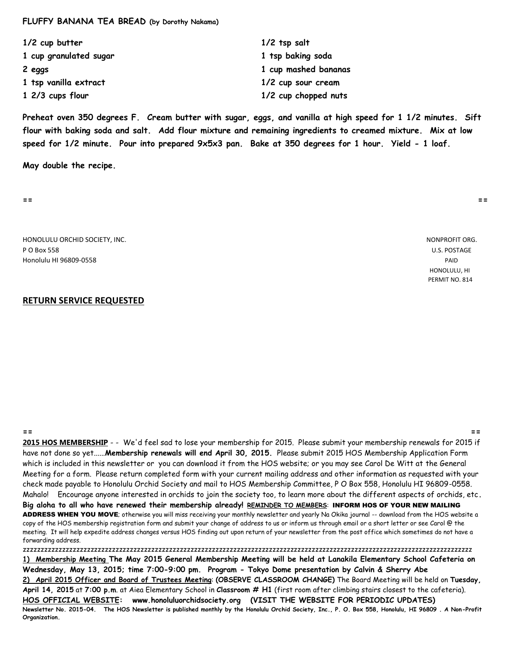#### **FLUFFY BANANA TEA BREAD (by Dorothy Nakama)**

| 1/2 cup butter         | $1/2$ tsp salt       |
|------------------------|----------------------|
| 1 cup granulated sugar | 1 tsp baking soda    |
| 2 eggs                 | 1 cup mashed bananas |
| 1 tsp vanilla extract  | 1/2 cup sour cream   |
| 1 2/3 cups flour       | 1/2 cup chopped nuts |

**Preheat oven 350 degrees F. Cream butter with sugar, eggs, and vanilla at high speed for 1 1/2 minutes. Sift flour with baking soda and salt. Add flour mixture and remaining ingredients to creamed mixture. Mix at low speed for 1/2 minute. Pour into prepared 9x5x3 pan. Bake at 350 degrees for 1 hour. Yield - 1 loaf.**

**May double the recipe.**

**== ==**

HONOLULU ORCHID SOCIETY, INC. NONPROFIT ORG. P O Box 558 U.S. POSTAGE Honolulu HI 96809-0558 PAID

 HONOLULU, HI PERMIT NO. 814

# **RETURN SERVICE REQUESTED**

**== == 2015 HOS MEMBERSHIP** - - We'd feel sad to lose your membership for 2015. Please submit your membership renewals for 2015 if have not done so yet......**Membership renewals will end April 30, 2015.** Please submit 2015 HOS Membership Application Form which is included in this newsletter or you can download it from the HOS website; or you may see Carol De Witt at the General Meeting for a form. Please return completed form with your current mailing address and other information as requested with your check made payable to Honolulu Orchid Society and mail to HOS Membership Committee, P O Box 558, Honolulu HI 96809-0558. Mahalo! Encourage anyone interested in orchids to join the society too, to learn more about the different aspects of orchids, etc**. Big aloha to all who have renewed their membership already! REMINDER TO MEMBERS**: INFORM HOS OF YOUR NEW MAILING ADDRESS WHEN YOU MOVE; otherwise you will miss receiving your monthly newsletter and yearly Na Okika journal -- download from the HOS website a copy of the HOS membership registration form and submit your change of address to us or inform us through email or a short letter or see Carol @ the meeting. It will help expedite address changes versus HOS finding out upon return of your newsletter from the post office which sometimes do not have a forwarding address.

zzzzzzzzzzzzzzzzzzzzzzzzzzzzzzzzzzzzzzzzzzzzzzzzzzzzzzzzzzzzzzzzzzzzzzzzzzzzzzzzzzzzzzzzzzzzzzzzzzzzzzzzzzzzzzzzzzzzzzzzzzzzzz **1) Membership Meeting The May 2015 General Membership Meeting will be held at Lanakila Elementary School Cafeteria on Wednesday, May 13, 2015; time 7:00-9:00 pm. Program - Tokyo Dome presentation by Calvin & Sherry Abe 2) April 2015 Officer and Board of Trustees Meeting**: **(OBSERVE CLASSROOM CHANGE)** The Board Meeting will be held on **Tuesday, April 14, 2015** at **7:00 p.m**. at Aiea Elementary School in **Classroom # H1** (first room after climbing stairs closest to the cafeteria). **HOS OFFICIAL WEBSITE: www.honoluluorchidsociety.org (VISIT THE WEBSITE FOR PERIODIC UPDATES) Newsletter No. 2015-04. The HOS Newsletter is published monthly by the Honolulu Orchid Society, Inc., P. O. Box 558, Honolulu, HI 96809 . A Non-Profit Organization.**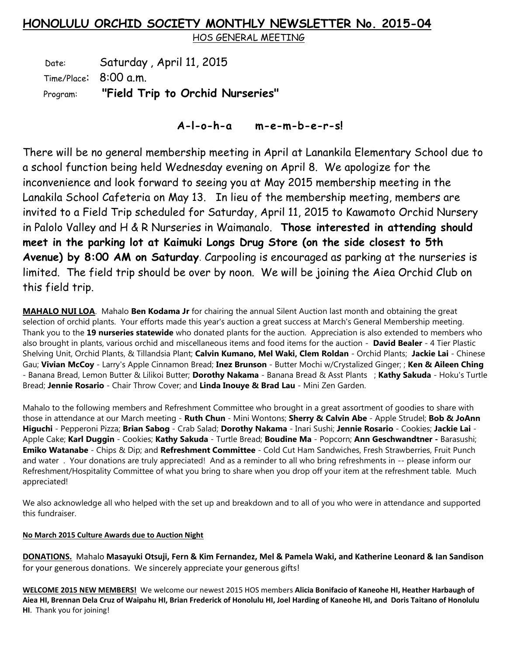# **HONOLULU ORCHID SOCIETY MONTHLY NEWSLETTER No. 2015-04**

HOS GENERAL MEETING

Date: Saturday, April 11, 2015 Time/Place: 8:00 a.m. Program: **"Field Trip to Orchid Nurseries"**

# **A-l-o-h-a m-e-m-b-e-r-s!**

There will be no general membership meeting in April at Lanankila Elementary School due to a school function being held Wednesday evening on April 8. We apologize for the inconvenience and look forward to seeing you at May 2015 membership meeting in the Lanakila School Cafeteria on May 13. In lieu of the membership meeting, members are invited to a Field Trip scheduled for Saturday, April 11, 2015 to Kawamoto Orchid Nursery in Palolo Valley and H & R Nurseries in Waimanalo. **Those interested in attending should meet in the parking lot at Kaimuki Longs Drug Store (on the side closest to 5th Avenue) by 8:00 AM on Saturday**. Carpooling is encouraged as parking at the nurseries is limited. The field trip should be over by noon. We will be joining the Aiea Orchid Club on this field trip.

**MAHALO NUI LOA**. Mahalo **Ben Kodama Jr** for chairing the annual Silent Auction last month and obtaining the great selection of orchid plants. Your efforts made this year's auction a great success at March's General Membership meeting. Thank you to the **19 nurseries statewide** who donated plants for the auction. Appreciation is also extended to members who also brought in plants, various orchid and miscellaneous items and food items for the auction - **David Bealer** - 4 Tier Plastic Shelving Unit, Orchid Plants, & Tillandsia Plant; **Calvin Kumano, Mel Waki, Clem Roldan** - Orchid Plants; **Jackie Lai** - Chinese Gau; **Vivian McCoy** - Larry's Apple Cinnamon Bread; **Inez Brunson** - Butter Mochi w/Crystalized Ginger; ; **Ken & Aileen Ching** - Banana Bread, Lemon Butter & Lilikoi Butter; **Dorothy Nakama** - Banana Bread & Asst Plants ; **Kathy Sakuda** - Hoku's Turtle Bread; **Jennie Rosario** - Chair Throw Cover; and **Linda Inouye & Brad Lau** - Mini Zen Garden.

Mahalo to the following members and Refreshment Committee who brought in a great assortment of goodies to share with those in attendance at our March meeting - **Ruth Chun** - Mini Wontons; **Sherry & Calvin Abe** - Apple Strudel; **Bob & JoAnn Higuchi** - Pepperoni Pizza; **Brian Sabog** - Crab Salad; **Dorothy Nakama** - Inari Sushi; **Jennie Rosario** - Cookies; **Jackie Lai** - Apple Cake; **Karl Duggin** - Cookies; **Kathy Sakuda** - Turtle Bread; **Boudine Ma** - Popcorn; **Ann Geschwandtner -** Barasushi; **Emiko Watanabe** - Chips & Dip; and **Refreshment Committee** - Cold Cut Ham Sandwiches, Fresh Strawberries, Fruit Punch and water. Your donations are truly appreciated! And as a reminder to all who bring refreshments in -- please inform our Refreshment/Hospitality Committee of what you bring to share when you drop off your item at the refreshment table. Much appreciated!

We also acknowledge all who helped with the set up and breakdown and to all of you who were in attendance and supported this fundraiser.

# **No March 2015 Culture Awards due to Auction Night**

**DONATIONS.** Mahalo **Masayuki Otsuji, Fern & Kim Fernandez, Mel & Pamela Waki, and Katherine Leonard & Ian Sandison**  for your generous donations. We sincerely appreciate your generous gifts!

**WELCOME 2015 NEW MEMBERS!** We welcome our newest 2015 HOS members **Alicia Bonifacio of Kaneohe HI, Heather Harbaugh of Aiea HI, Brennan Dela Cruz of Waipahu HI, Brian Frederick of Honolulu HI, Joel Harding of Kaneohe HI, and Doris Taitano of Honolulu HI**. Thank you for joining!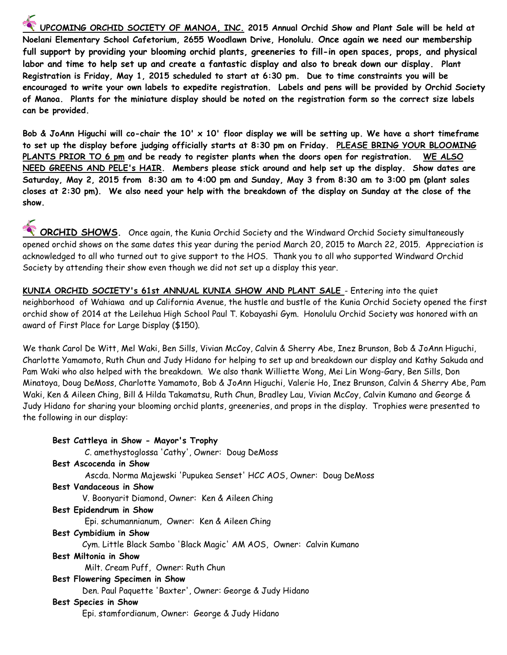**UPCOMING ORCHID SOCIETY OF MANOA, INC. 2015 Annual Orchid Show and Plant Sale will be held at Noelani Elementary School Cafetorium, 2655 Woodlawn Drive, Honolulu. Once again we need our membership full support by providing your blooming orchid plants, greeneries to fill-in open spaces, props, and physical labor and time to help set up and create a fantastic display and also to break down our display. Plant Registration is Friday, May 1, 2015 scheduled to start at 6:30 pm. Due to time constraints you will be encouraged to write your own labels to expedite registration. Labels and pens will be provided by Orchid Society of Manoa. Plants for the miniature display should be noted on the registration form so the correct size labels can be provided.** 

**Bob & JoAnn Higuchi will co-chair the 10' x 10' floor display we will be setting up. We have a short timeframe to set up the display before judging officially starts at 8:30 pm on Friday. PLEASE BRING YOUR BLOOMING PLANTS PRIOR TO 6 pm and be ready to register plants when the doors open for registration. WE ALSO NEED GREENS AND PELE's HAIR. Members please stick around and help set up the display. Show dates are Saturday, May 2, 2015 from 8:30 am to 4:00 pm and Sunday, May 3 from 8:30 am to 3:00 pm (plant sales closes at 2:30 pm). We also need your help with the breakdown of the display on Sunday at the close of the show.**

**ORCHID SHOWS.** Once again, the Kunia Orchid Society and the Windward Orchid Society simultaneously opened orchid shows on the same dates this year during the period March 20, 2015 to March 22, 2015. Appreciation is acknowledged to all who turned out to give support to the HOS. Thank you to all who supported Windward Orchid Society by attending their show even though we did not set up a display this year.

**KUNIA ORCHID SOCIETY's 61st ANNUAL KUNIA SHOW AND PLANT SALE** - Entering into the quiet neighborhood of Wahiawa and up California Avenue, the hustle and bustle of the Kunia Orchid Society opened the first orchid show of 2014 at the Leilehua High School Paul T. Kobayashi Gym. Honolulu Orchid Society was honored with an award of First Place for Large Display (\$150).

We thank Carol De Witt, Mel Waki, Ben Sills, Vivian McCoy, Calvin & Sherry Abe, Inez Brunson, Bob & JoAnn Higuchi, Charlotte Yamamoto, Ruth Chun and Judy Hidano for helping to set up and breakdown our display and Kathy Sakuda and Pam Waki who also helped with the breakdown. We also thank Williette Wong, Mei Lin Wong-Gary, Ben Sills, Don Minatoya, Doug DeMoss, Charlotte Yamamoto, Bob & JoAnn Higuchi, Valerie Ho, Inez Brunson, Calvin & Sherry Abe, Pam Waki, Ken & Aileen Ching, Bill & Hilda Takamatsu, Ruth Chun, Bradley Lau, Vivian McCoy, Calvin Kumano and George & Judy Hidano for sharing your blooming orchid plants, greeneries, and props in the display. Trophies were presented to the following in our display:

| Best Cattleya in Show - Mayor's Trophy                             |
|--------------------------------------------------------------------|
| C. amethystoglossa 'Cathy', Owner: Doug DeMoss                     |
| Best Ascocenda in Show                                             |
| Ascda. Norma Majewski 'Pupukea Senset' HCC AOS, Owner: Doug DeMoss |
| <b>Best Vandaceous in Show</b>                                     |
| V. Boonyarit Diamond, Owner: Ken & Aileen Ching                    |
| Best Epidendrum in Show                                            |
| Epi. schumannianum, Owner: Ken & Aileen Ching                      |
| Best Cymbidium in Show                                             |
| Cym. Little Black Sambo 'Black Magic' AM AOS, Owner: Calvin Kumano |
| Best Miltonia in Show                                              |
| Milt. Cream Puff, Owner: Ruth Chun                                 |
| Best Flowering Specimen in Show                                    |
| Den. Paul Paquette 'Baxter', Owner: George & Judy Hidano           |
| Best Species in Show                                               |
| Epi. stamfordianum, Owner: George & Judy Hidano                    |